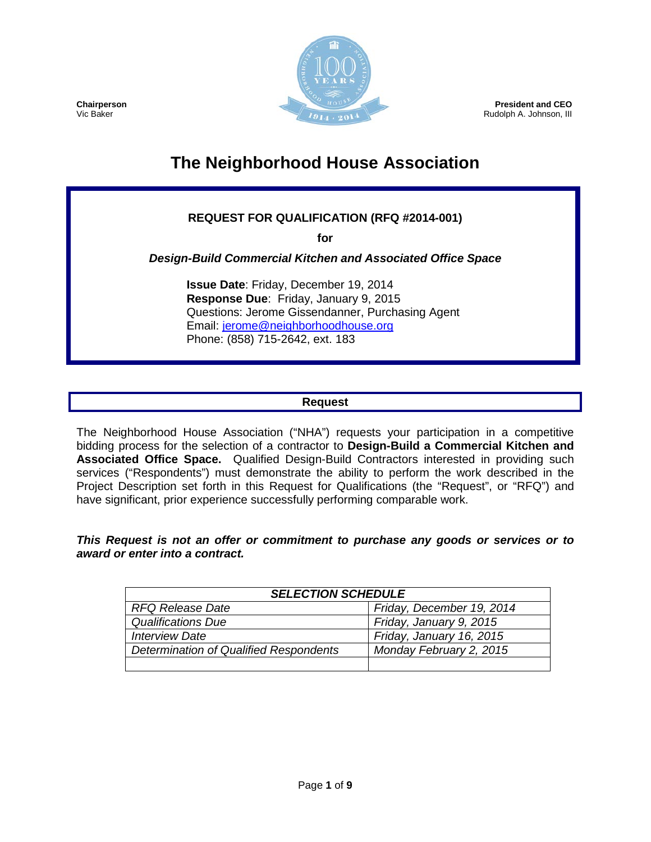

**President and CEO** Rudolph A. Johnson, III

**Chairperson** Vic Baker

# **The Neighborhood House Association**

# **REQUEST FOR QUALIFICATION (RFQ #2014-001)**

**for** 

*Design-Build Commercial Kitchen and Associated Office Space*

**Issue Date**: Friday, December 19, 2014 **Response Due**: Friday, January 9, 2015 Questions: Jerome Gissendanner, Purchasing Agent Email: [jerome@neighborhoodhouse.org](mailto:jerome@neighborhoodhouse.org) Phone: (858) 715-2642, ext. 183

#### **Request**

The Neighborhood House Association ("NHA") requests your participation in a competitive bidding process for the selection of a contractor to **Design-Build a Commercial Kitchen and Associated Office Space.** Qualified Design-Build Contractors interested in providing such services ("Respondents") must demonstrate the ability to perform the work described in the Project Description set forth in this Request for Qualifications (the "Request", or "RFQ") and have significant, prior experience successfully performing comparable work.

*This Request is not an offer or commitment to purchase any goods or services or to award or enter into a contract.*

| <b>SELECTION SCHEDULE</b>              |                           |  |  |
|----------------------------------------|---------------------------|--|--|
| <b>RFQ Release Date</b>                | Friday, December 19, 2014 |  |  |
| <b>Qualifications Due</b>              | Friday, January 9, 2015   |  |  |
| <b>Interview Date</b>                  | Friday, January 16, 2015  |  |  |
| Determination of Qualified Respondents | Monday February 2, 2015   |  |  |
|                                        |                           |  |  |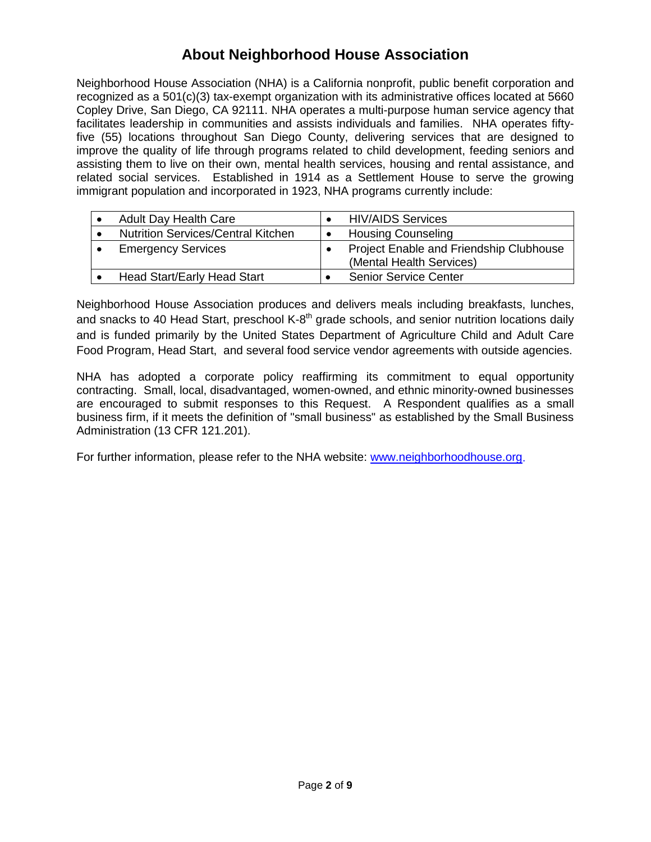# **About Neighborhood House Association**

Neighborhood House Association (NHA) is a California nonprofit, public benefit corporation and recognized as a 501(c)(3) tax-exempt organization with its administrative offices located at 5660 Copley Drive, San Diego, CA 92111. NHA operates a multi-purpose human service agency that facilitates leadership in communities and assists individuals and families. NHA operates fiftyfive (55) locations throughout San Diego County, delivering services that are designed to improve the quality of life through programs related to child development, feeding seniors and assisting them to live on their own, mental health services, housing and rental assistance, and related social services. Established in 1914 as a Settlement House to serve the growing immigrant population and incorporated in 1923, NHA programs currently include:

| <b>Adult Day Health Care</b>              | <b>HIV/AIDS Services</b>                                            |
|-------------------------------------------|---------------------------------------------------------------------|
| <b>Nutrition Services/Central Kitchen</b> | <b>Housing Counseling</b>                                           |
| <b>Emergency Services</b>                 | Project Enable and Friendship Clubhouse<br>(Mental Health Services) |
| <b>Head Start/Early Head Start</b>        | <b>Senior Service Center</b>                                        |

Neighborhood House Association produces and delivers meals including breakfasts, lunches, and snacks to 40 Head Start, preschool  $K-8<sup>th</sup>$  grade schools, and senior nutrition locations daily and is funded primarily by the United States Department of Agriculture Child and Adult Care Food Program, Head Start, and several food service vendor agreements with outside agencies.

NHA has adopted a corporate policy reaffirming its commitment to equal opportunity contracting. Small, local, disadvantaged, women-owned, and ethnic minority-owned businesses are encouraged to submit responses to this Request. A Respondent qualifies as a small business firm, if it meets the definition of "small business" as established by the Small Business Administration (13 CFR 121.201).

For further information, please refer to the NHA website: [www.neighborhoodhouse.org.](http://www.neighborhoodhouse.org/)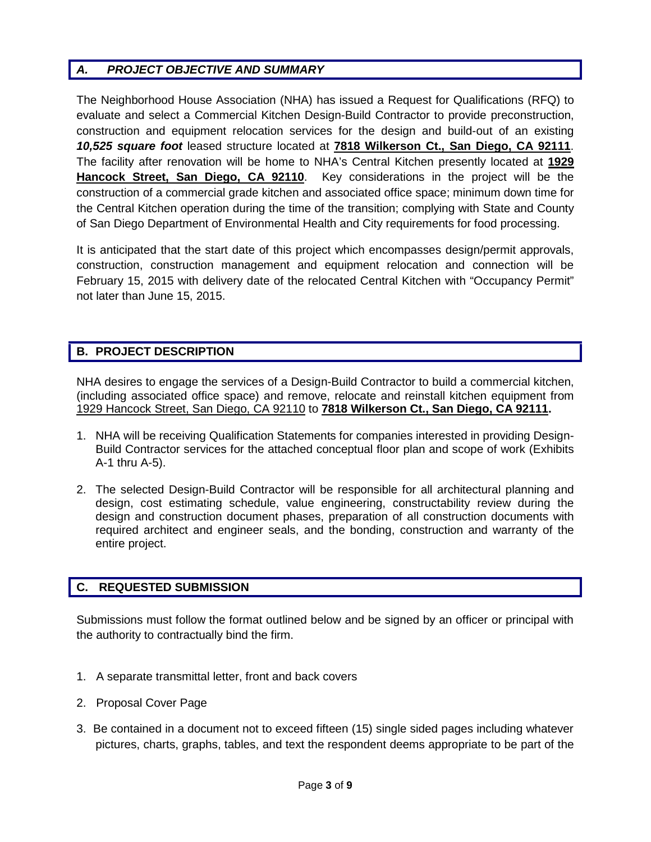# *A. PROJECT OBJECTIVE AND SUMMARY*

The Neighborhood House Association (NHA) has issued a Request for Qualifications (RFQ) to evaluate and select a Commercial Kitchen Design-Build Contractor to provide preconstruction, construction and equipment relocation services for the design and build-out of an existing *10,525 square foot* leased structure located at **7818 Wilkerson Ct., San Diego, CA 92111**. The facility after renovation will be home to NHA's Central Kitchen presently located at **1929 Hancock Street, San Diego, CA 92110**. Key considerations in the project will be the construction of a commercial grade kitchen and associated office space; minimum down time for the Central Kitchen operation during the time of the transition; complying with State and County of San Diego Department of Environmental Health and City requirements for food processing.

It is anticipated that the start date of this project which encompasses design/permit approvals, construction, construction management and equipment relocation and connection will be February 15, 2015 with delivery date of the relocated Central Kitchen with "Occupancy Permit" not later than June 15, 2015.

# **B. PROJECT DESCRIPTION**

NHA desires to engage the services of a Design-Build Contractor to build a commercial kitchen, (including associated office space) and remove, relocate and reinstall kitchen equipment from 1929 Hancock Street, San Diego, CA 92110 to **7818 Wilkerson Ct., San Diego, CA 92111.**

- 1. NHA will be receiving Qualification Statements for companies interested in providing Design-Build Contractor services for the attached conceptual floor plan and scope of work (Exhibits A-1 thru A-5).
- 2. The selected Design-Build Contractor will be responsible for all architectural planning and design, cost estimating schedule, value engineering, constructability review during the design and construction document phases, preparation of all construction documents with required architect and engineer seals, and the bonding, construction and warranty of the entire project.

# **C. REQUESTED SUBMISSION**

Submissions must follow the format outlined below and be signed by an officer or principal with the authority to contractually bind the firm.

- 1. A separate transmittal letter, front and back covers
- 2. Proposal Cover Page
- 3. Be contained in a document not to exceed fifteen (15) single sided pages including whatever pictures, charts, graphs, tables, and text the respondent deems appropriate to be part of the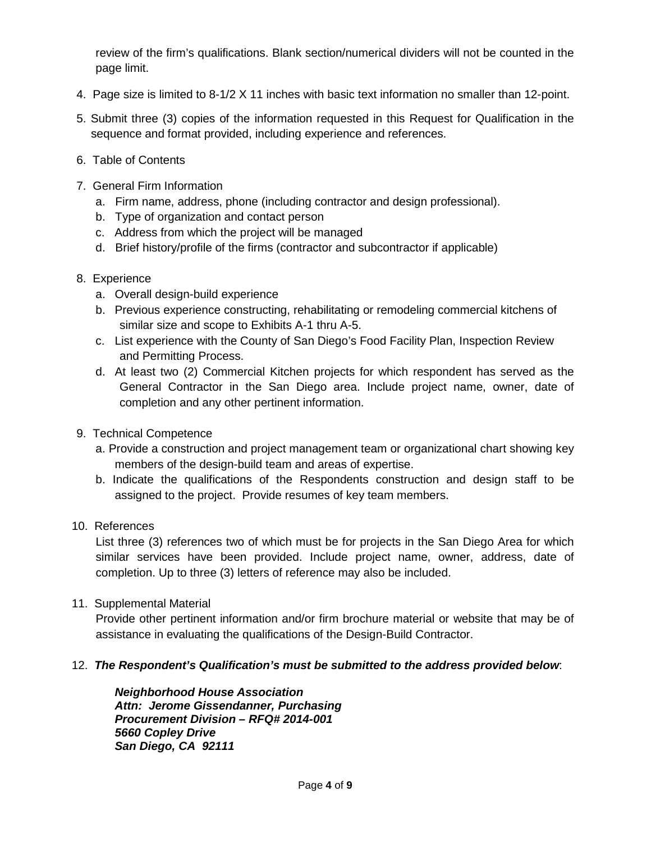review of the firm's qualifications. Blank section/numerical dividers will not be counted in the page limit.

- 4. Page size is limited to 8-1/2 X 11 inches with basic text information no smaller than 12-point.
- 5. Submit three (3) copies of the information requested in this Request for Qualification in the sequence and format provided, including experience and references.
- 6. Table of Contents
- 7. General Firm Information
	- a. Firm name, address, phone (including contractor and design professional).
	- b. Type of organization and contact person
	- c. Address from which the project will be managed
	- d. Brief history/profile of the firms (contractor and subcontractor if applicable)
- 8. Experience
	- a. Overall design-build experience
	- b. Previous experience constructing, rehabilitating or remodeling commercial kitchens of similar size and scope to Exhibits A-1 thru A-5.
	- c. List experience with the County of San Diego's Food Facility Plan, Inspection Review and Permitting Process.
	- d. At least two (2) Commercial Kitchen projects for which respondent has served as the General Contractor in the San Diego area. Include project name, owner, date of completion and any other pertinent information.
- 9. Technical Competence
	- a. Provide a construction and project management team or organizational chart showing key members of the design-build team and areas of expertise.
	- b. Indicate the qualifications of the Respondents construction and design staff to be assigned to the project. Provide resumes of key team members.
- 10. References

List three (3) references two of which must be for projects in the San Diego Area for which similar services have been provided. Include project name, owner, address, date of completion. Up to three (3) letters of reference may also be included.

11. Supplemental Material

Provide other pertinent information and/or firm brochure material or website that may be of assistance in evaluating the qualifications of the Design-Build Contractor.

# 12. *The Respondent's Qualification's must be submitted to the address provided below*:

*Neighborhood House Association Attn: Jerome Gissendanner, Purchasing Procurement Division – RFQ# 2014-001 5660 Copley Drive San Diego, CA 92111*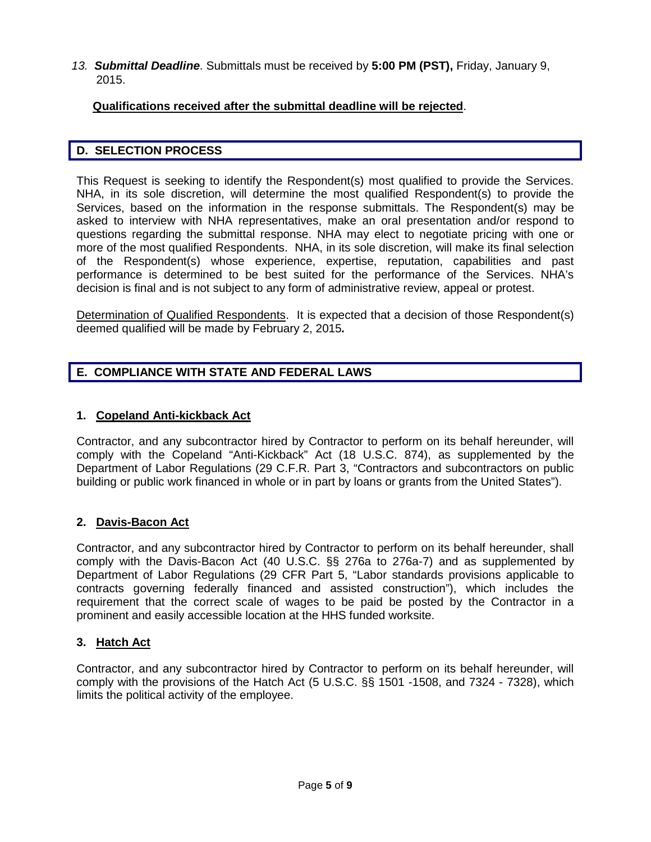*13. Submittal Deadline*. Submittals must be received by **5:00 PM (PST),** Friday, January 9, 2015.

#### **Qualifications received after the submittal deadline will be rejected**.

#### **D. SELECTION PROCESS**

This Request is seeking to identify the Respondent(s) most qualified to provide the Services. NHA, in its sole discretion, will determine the most qualified Respondent(s) to provide the Services, based on the information in the response submittals. The Respondent(s) may be asked to interview with NHA representatives, make an oral presentation and/or respond to questions regarding the submittal response. NHA may elect to negotiate pricing with one or more of the most qualified Respondents. NHA, in its sole discretion, will make its final selection of the Respondent(s) whose experience, expertise, reputation, capabilities and past performance is determined to be best suited for the performance of the Services. NHA's decision is final and is not subject to any form of administrative review, appeal or protest.

Determination of Qualified Respondents. It is expected that a decision of those Respondent(s) deemed qualified will be made by February 2, 2015*.*

# **E. COMPLIANCE WITH STATE AND FEDERAL LAWS**

#### **1. Copeland Anti-kickback Act**

Contractor, and any subcontractor hired by Contractor to perform on its behalf hereunder, will comply with the Copeland "Anti-Kickback" Act (18 U.S.C. 874), as supplemented by the Department of Labor Regulations (29 C.F.R. Part 3, "Contractors and subcontractors on public building or public work financed in whole or in part by loans or grants from the United States").

#### **2. Davis-Bacon Act**

Contractor, and any subcontractor hired by Contractor to perform on its behalf hereunder, shall comply with the Davis-Bacon Act (40 U.S.C. §§ 276a to 276a-7) and as supplemented by Department of Labor Regulations (29 CFR Part 5, "Labor standards provisions applicable to contracts governing federally financed and assisted construction"), which includes the requirement that the correct scale of wages to be paid be posted by the Contractor in a prominent and easily accessible location at the HHS funded worksite.

#### **3. Hatch Act**

Contractor, and any subcontractor hired by Contractor to perform on its behalf hereunder, will comply with the provisions of the Hatch Act (5 U.S.C. §§ 1501 -1508, and 7324 - 7328), which limits the political activity of the employee.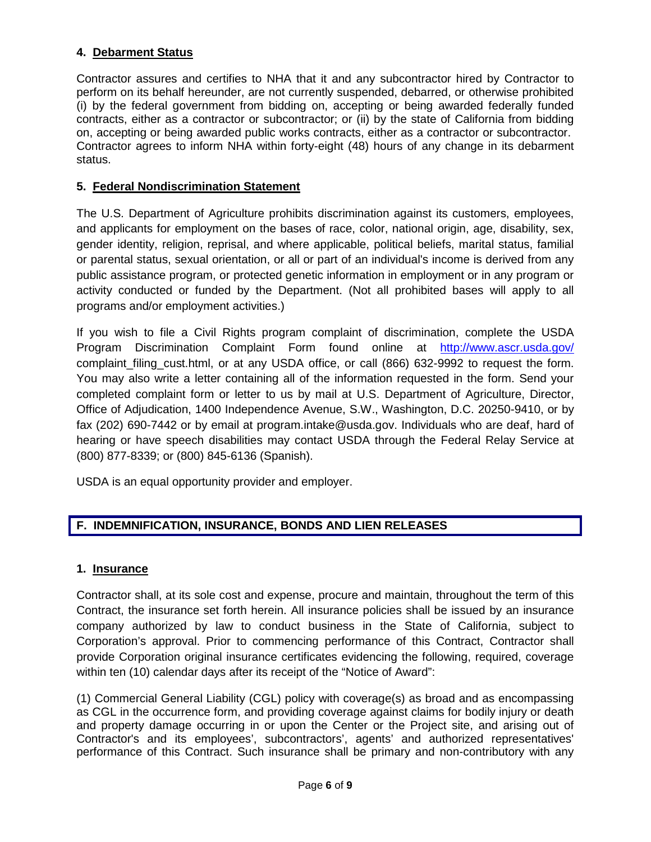# **4. Debarment Status**

Contractor assures and certifies to NHA that it and any subcontractor hired by Contractor to perform on its behalf hereunder, are not currently suspended, debarred, or otherwise prohibited (i) by the federal government from bidding on, accepting or being awarded federally funded contracts, either as a contractor or subcontractor; or (ii) by the state of California from bidding on, accepting or being awarded public works contracts, either as a contractor or subcontractor. Contractor agrees to inform NHA within forty-eight (48) hours of any change in its debarment status.

# **5. Federal Nondiscrimination Statement**

The U.S. Department of Agriculture prohibits discrimination against its customers, employees, and applicants for employment on the bases of race, color, national origin, age, disability, sex, gender identity, religion, reprisal, and where applicable, political beliefs, marital status, familial or parental status, sexual orientation, or all or part of an individual's income is derived from any public assistance program, or protected genetic information in employment or in any program or activity conducted or funded by the Department. (Not all prohibited bases will apply to all programs and/or employment activities.)

If you wish to file a Civil Rights program complaint of discrimination, complete the USDA Program Discrimination Complaint Form found online at <http://www.ascr.usda.gov/> complaint\_filing\_cust.html, or at any USDA office, or call (866) 632-9992 to request the form. You may also write a letter containing all of the information requested in the form. Send your completed complaint form or letter to us by mail at U.S. Department of Agriculture, Director, Office of Adjudication, 1400 Independence Avenue, S.W., Washington, D.C. 20250-9410, or by fax (202) 690-7442 or by email at program.intake@usda.gov. Individuals who are deaf, hard of hearing or have speech disabilities may contact USDA through the Federal Relay Service at (800) 877-8339; or (800) 845-6136 (Spanish).

USDA is an equal opportunity provider and employer.

# **F. INDEMNIFICATION, INSURANCE, BONDS AND LIEN RELEASES**

#### **1. Insurance**

Contractor shall, at its sole cost and expense, procure and maintain, throughout the term of this Contract, the insurance set forth herein. All insurance policies shall be issued by an insurance company authorized by law to conduct business in the State of California, subject to Corporation's approval. Prior to commencing performance of this Contract, Contractor shall provide Corporation original insurance certificates evidencing the following, required, coverage within ten (10) calendar days after its receipt of the "Notice of Award":

(1) Commercial General Liability (CGL) policy with coverage(s) as broad and as encompassing as CGL in the occurrence form, and providing coverage against claims for bodily injury or death and property damage occurring in or upon the Center or the Project site, and arising out of Contractor's and its employees', subcontractors', agents' and authorized representatives' performance of this Contract. Such insurance shall be primary and non-contributory with any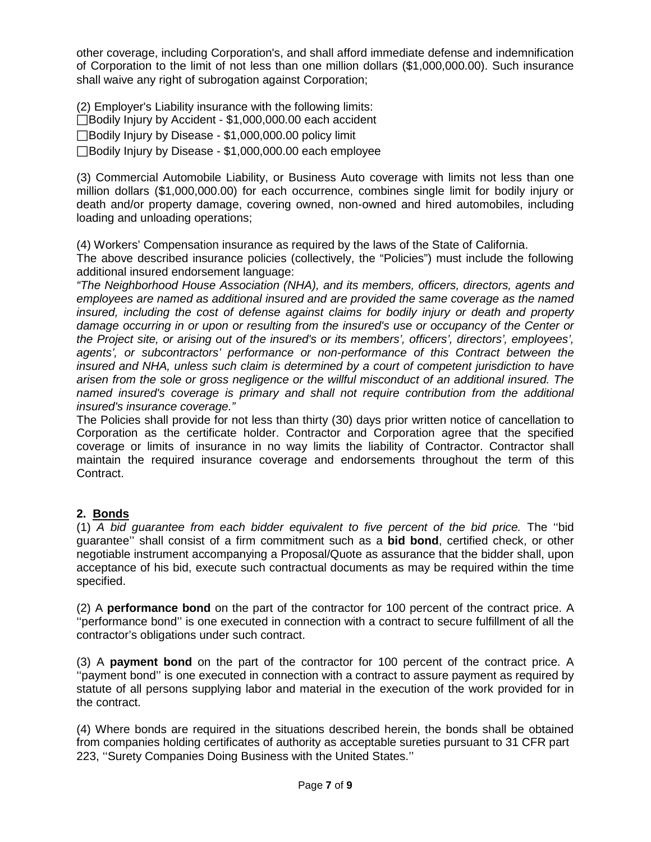other coverage, including Corporation's, and shall afford immediate defense and indemnification of Corporation to the limit of not less than one million dollars (\$1,000,000.00). Such insurance shall waive any right of subrogation against Corporation;

(2) Employer's Liability insurance with the following limits: □Bodily Injury by Accident - \$1,000,000.00 each accident

□Bodily Injury by Disease - \$1,000,000.00 policy limit

Bodily Injury by Disease - \$1,000,000.00 each employee

(3) Commercial Automobile Liability, or Business Auto coverage with limits not less than one million dollars (\$1,000,000.00) for each occurrence, combines single limit for bodily injury or death and/or property damage, covering owned, non-owned and hired automobiles, including loading and unloading operations;

(4) Workers' Compensation insurance as required by the laws of the State of California.

The above described insurance policies (collectively, the "Policies") must include the following additional insured endorsement language:

*"The Neighborhood House Association (NHA), and its members, officers, directors, agents and employees are named as additional insured and are provided the same coverage as the named insured, including the cost of defense against claims for bodily injury or death and property damage occurring in or upon or resulting from the insured's use or occupancy of the Center or the Project site, or arising out of the insured's or its members', officers', directors', employees', agents', or subcontractors' performance or non-performance of this Contract between the insured and NHA, unless such claim is determined by a court of competent jurisdiction to have arisen from the sole or gross negligence or the willful misconduct of an additional insured. The named insured's coverage is primary and shall not require contribution from the additional insured's insurance coverage."* 

The Policies shall provide for not less than thirty (30) days prior written notice of cancellation to Corporation as the certificate holder. Contractor and Corporation agree that the specified coverage or limits of insurance in no way limits the liability of Contractor. Contractor shall maintain the required insurance coverage and endorsements throughout the term of this Contract.

# **2. Bonds**

(1) *A bid guarantee from each bidder equivalent to five percent of the bid price.* The ''bid guarantee'' shall consist of a firm commitment such as a **bid bond**, certified check, or other negotiable instrument accompanying a Proposal/Quote as assurance that the bidder shall, upon acceptance of his bid, execute such contractual documents as may be required within the time specified.

(2) A **performance bond** on the part of the contractor for 100 percent of the contract price. A ''performance bond'' is one executed in connection with a contract to secure fulfillment of all the contractor's obligations under such contract.

(3) A **payment bond** on the part of the contractor for 100 percent of the contract price. A ''payment bond'' is one executed in connection with a contract to assure payment as required by statute of all persons supplying labor and material in the execution of the work provided for in the contract.

(4) Where bonds are required in the situations described herein, the bonds shall be obtained from companies holding certificates of authority as acceptable sureties pursuant to 31 CFR part 223, ''Surety Companies Doing Business with the United States.''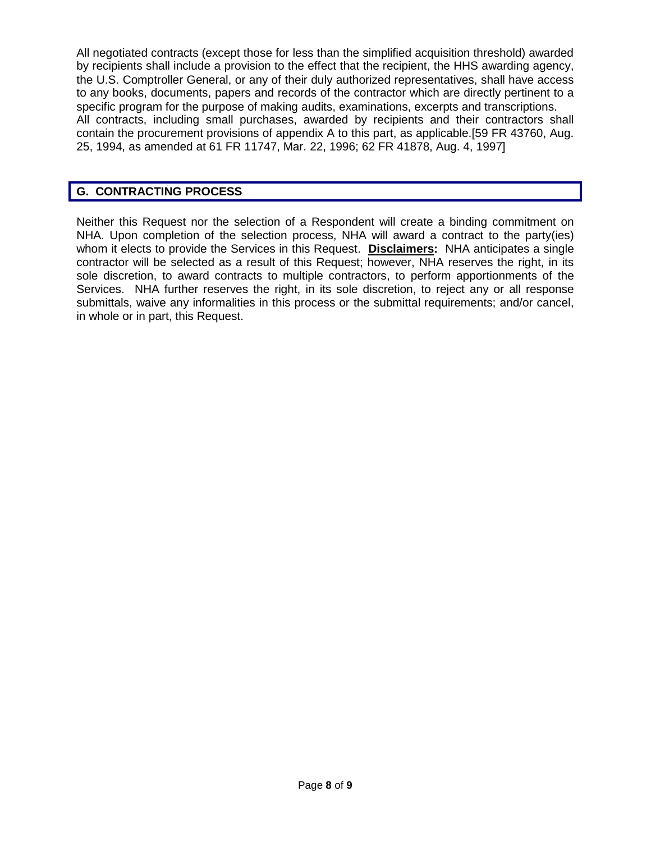All negotiated contracts (except those for less than the simplified acquisition threshold) awarded by recipients shall include a provision to the effect that the recipient, the HHS awarding agency, the U.S. Comptroller General, or any of their duly authorized representatives, shall have access to any books, documents, papers and records of the contractor which are directly pertinent to a specific program for the purpose of making audits, examinations, excerpts and transcriptions. All contracts, including small purchases, awarded by recipients and their contractors shall contain the procurement provisions of appendix A to this part, as applicable.[59 FR 43760, Aug. 25, 1994, as amended at 61 FR 11747, Mar. 22, 1996; 62 FR 41878, Aug. 4, 1997]

#### **G. CONTRACTING PROCESS**

Neither this Request nor the selection of a Respondent will create a binding commitment on NHA. Upon completion of the selection process, NHA will award a contract to the party(ies) whom it elects to provide the Services in this Request. **Disclaimers:** NHA anticipates a single contractor will be selected as a result of this Request; however, NHA reserves the right, in its sole discretion, to award contracts to multiple contractors, to perform apportionments of the Services. NHA further reserves the right, in its sole discretion, to reject any or all response submittals, waive any informalities in this process or the submittal requirements; and/or cancel, in whole or in part, this Request.